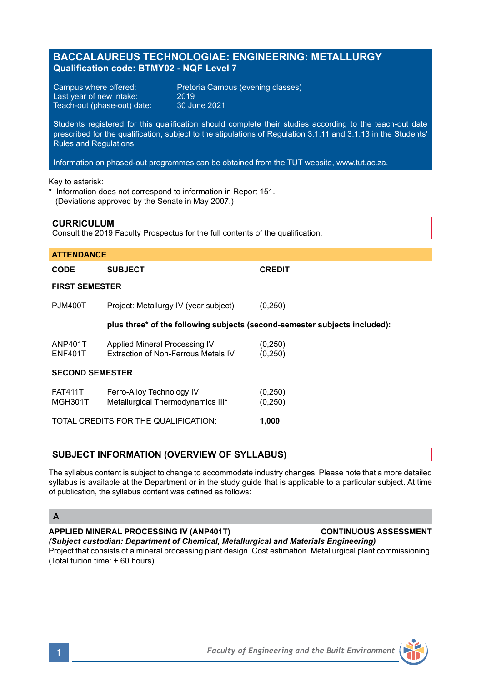# **BACCALAUREUS TECHNOLOGIAE: ENGINEERING: METALLURGY Qualification code: BTMY02 - NQF Level 7**

Last year of new intake: 2019<br>Teach-out (phase-out) date: 30 June 2021 Teach-out (phase-out) date:

Campus where offered: Pretoria Campus (evening classes)<br>Last vear of new intake: 2019

Students registered for this qualification should complete their studies according to the teach-out date prescribed for the qualification, subject to the stipulations of Regulation 3.1.11 and 3.1.13 in the Students' Rules and Regulations.

Information on phased-out programmes can be obtained from the TUT website, www.tut.ac.za.

Key to asterisk:

**CURRICULUM**

\* Information does not correspond to information in Report 151. (Deviations approved by the Senate in May 2007.)

| <b>UURRIUULUM</b><br>Consult the 2019 Faculty Prospectus for the full contents of the qualification. |                                                                            |                      |
|------------------------------------------------------------------------------------------------------|----------------------------------------------------------------------------|----------------------|
|                                                                                                      |                                                                            |                      |
| <b>ATTENDANCE</b>                                                                                    |                                                                            |                      |
| <b>CODE</b>                                                                                          | <b>SUBJECT</b>                                                             | <b>CREDIT</b>        |
| <b>FIRST SEMESTER</b>                                                                                |                                                                            |                      |
| <b>PJM400T</b>                                                                                       | Project: Metallurgy IV (year subject)                                      | (0,250)              |
|                                                                                                      | plus three* of the following subjects (second-semester subjects included): |                      |
| ANP401T<br><b>ENF401T</b>                                                                            | Applied Mineral Processing IV<br>Extraction of Non-Ferrous Metals IV       | (0, 250)<br>(0, 250) |
| <b>SECOND SEMESTER</b>                                                                               |                                                                            |                      |
| <b>FAT411T</b><br>MGH301T                                                                            | Ferro-Alloy Technology IV<br>Metallurgical Thermodynamics III*             | (0, 250)<br>(0,250)  |
| TOTAL CREDITS FOR THE QUALIFICATION:                                                                 |                                                                            | 1,000                |

## **SUBJECT INFORMATION (OVERVIEW OF SYLLABUS)**

The syllabus content is subject to change to accommodate industry changes. Please note that a more detailed syllabus is available at the Department or in the study guide that is applicable to a particular subject. At time of publication, the syllabus content was defined as follows:

### **A**

#### **APPLIED MINERAL PROCESSING IV (ANP401T) CONTINUOUS ASSESSMENT**

*(Subject custodian: Department of Chemical, Metallurgical and Materials Engineering)* Project that consists of a mineral processing plant design. Cost estimation. Metallurgical plant commissioning. (Total tuition time: ± 60 hours)